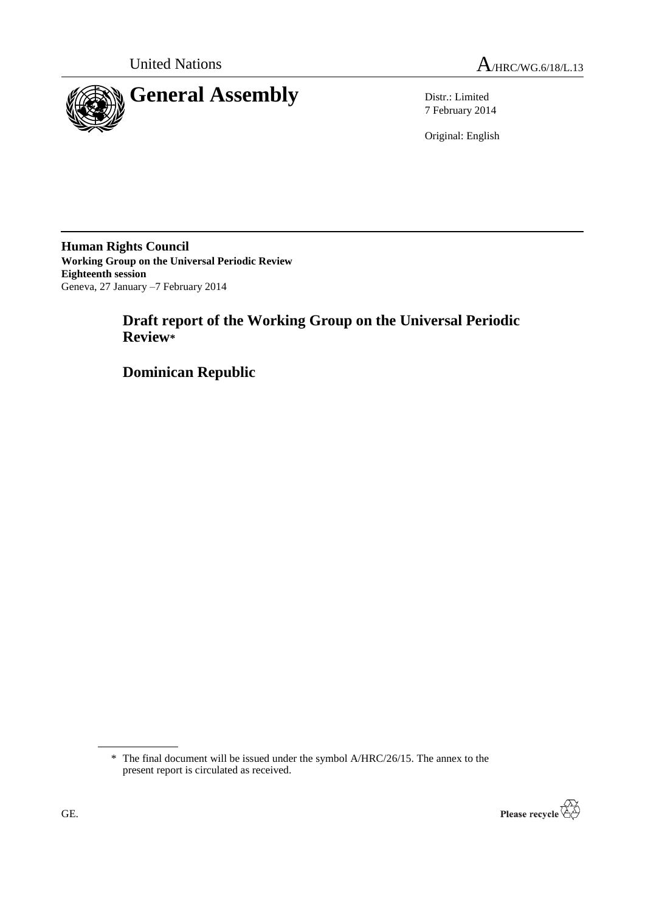

7 February 2014

Original: English

**Human Rights Council Working Group on the Universal Periodic Review Eighteenth session** Geneva, 27 January –7 February 2014

# **Draft report of the Working Group on the Universal Periodic Review\***

**Dominican Republic**

<sup>\*</sup> The final document will be issued under the symbol A/HRC/26/15. The annex to the present report is circulated as received.

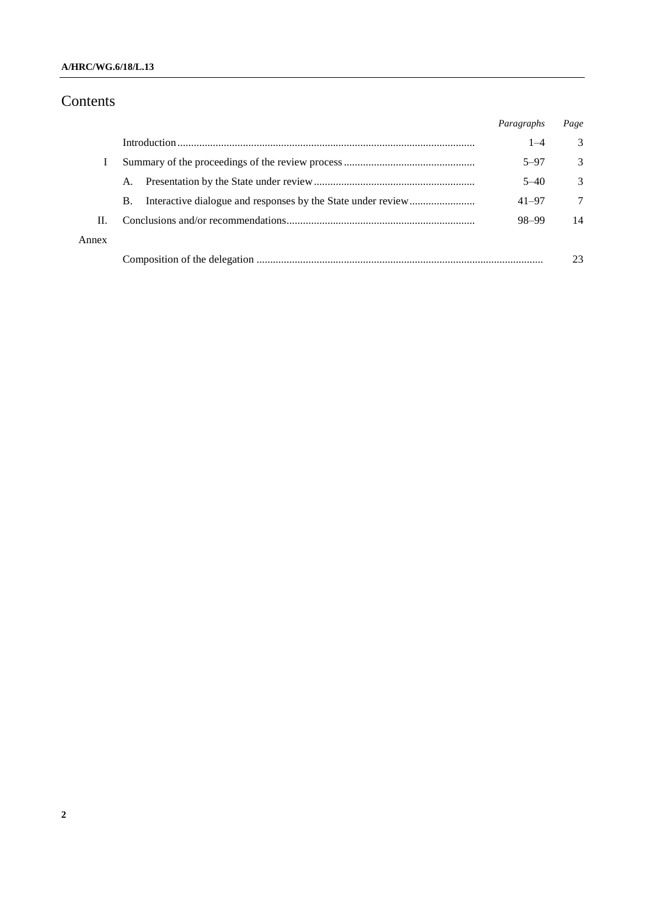### **A/HRC/WG.6/18/L.13**

# Contents

|       |           | Paragraphs | Page          |
|-------|-----------|------------|---------------|
|       |           | $1 - 4$    | 3             |
|       |           | $5 - 97$   | 3             |
|       | A.        | $5 - 40$   | $\mathcal{R}$ |
|       | <b>B.</b> | $41 - 97$  | 7             |
| H.    |           | 98-99      | 14            |
| Annex |           |            |               |
|       |           |            | 23            |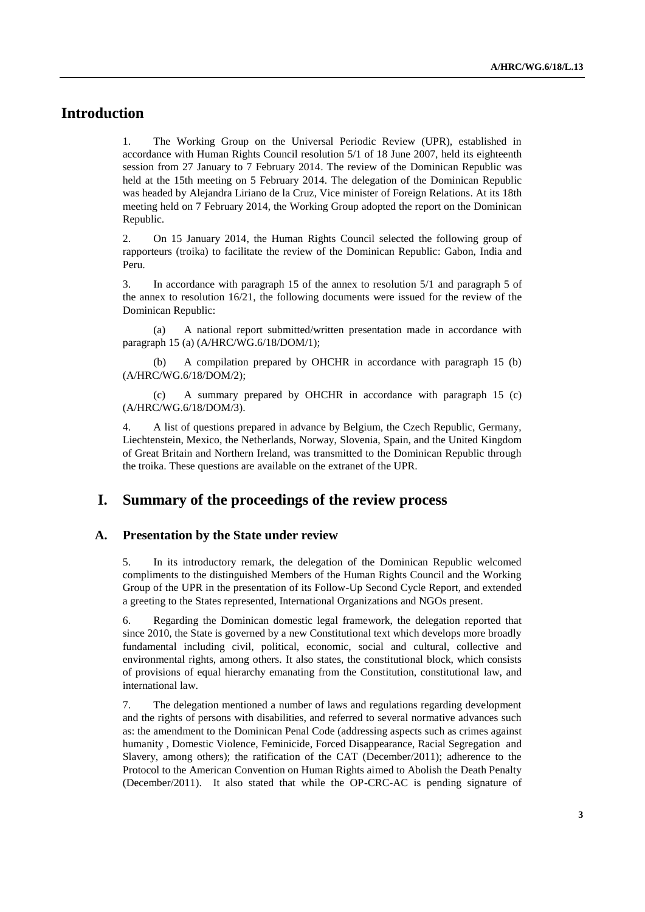## **Introduction**

1. The Working Group on the Universal Periodic Review (UPR), established in accordance with Human Rights Council resolution 5/1 of 18 June 2007, held its eighteenth session from 27 January to 7 February 2014. The review of the Dominican Republic was held at the 15th meeting on 5 February 2014. The delegation of the Dominican Republic was headed by Alejandra Liriano de la Cruz, Vice minister of Foreign Relations. At its 18th meeting held on 7 February 2014, the Working Group adopted the report on the Dominican Republic.

2. On 15 January 2014, the Human Rights Council selected the following group of rapporteurs (troika) to facilitate the review of the Dominican Republic: Gabon, India and Peru.

3. In accordance with paragraph 15 of the annex to resolution 5/1 and paragraph 5 of the annex to resolution 16/21, the following documents were issued for the review of the Dominican Republic:

(a) A national report submitted/written presentation made in accordance with paragraph 15 (a) (A/HRC/WG.6/18/DOM/1);

(b) A compilation prepared by OHCHR in accordance with paragraph 15 (b) (A/HRC/WG.6/18/DOM/2);

(c) A summary prepared by OHCHR in accordance with paragraph 15 (c) (A/HRC/WG.6/18/DOM/3).

4. A list of questions prepared in advance by Belgium, the Czech Republic, Germany, Liechtenstein, Mexico, the Netherlands, Norway, Slovenia, Spain, and the United Kingdom of Great Britain and Northern Ireland, was transmitted to the Dominican Republic through the troika. These questions are available on the extranet of the UPR.

## **I. Summary of the proceedings of the review process**

#### **A. Presentation by the State under review**

5. In its introductory remark, the delegation of the Dominican Republic welcomed compliments to the distinguished Members of the Human Rights Council and the Working Group of the UPR in the presentation of its Follow-Up Second Cycle Report, and extended a greeting to the States represented, International Organizations and NGOs present.

6. Regarding the Dominican domestic legal framework, the delegation reported that since 2010, the State is governed by a new Constitutional text which develops more broadly fundamental including civil, political, economic, social and cultural, collective and environmental rights, among others. It also states, the constitutional block, which consists of provisions of equal hierarchy emanating from the Constitution, constitutional law, and international law.

7. The delegation mentioned a number of laws and regulations regarding development and the rights of persons with disabilities, and referred to several normative advances such as: the amendment to the Dominican Penal Code (addressing aspects such as crimes against humanity , Domestic Violence, Feminicide, Forced Disappearance, Racial Segregation and Slavery, among others); the ratification of the CAT (December/2011); adherence to the Protocol to the American Convention on Human Rights aimed to Abolish the Death Penalty (December/2011). It also stated that while the OP-CRC-AC is pending signature of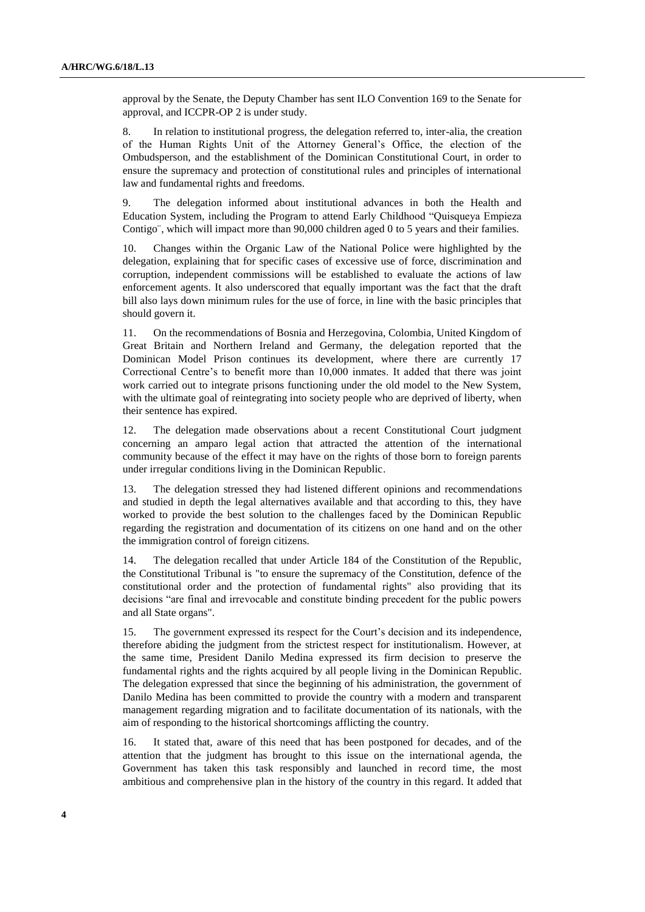approval by the Senate, the Deputy Chamber has sent ILO Convention 169 to the Senate for approval, and ICCPR-OP 2 is under study.

8. In relation to institutional progress, the delegation referred to, inter-alia, the creation of the Human Rights Unit of the Attorney General's Office, the election of the Ombudsperson, and the establishment of the Dominican Constitutional Court, in order to ensure the supremacy and protection of constitutional rules and principles of international law and fundamental rights and freedoms.

9. The delegation informed about institutional advances in both the Health and Education System, including the Program to attend Early Childhood "Quisqueya Empieza Contigo¨, which will impact more than 90,000 children aged 0 to 5 years and their families.

10. Changes within the Organic Law of the National Police were highlighted by the delegation, explaining that for specific cases of excessive use of force, discrimination and corruption, independent commissions will be established to evaluate the actions of law enforcement agents. It also underscored that equally important was the fact that the draft bill also lays down minimum rules for the use of force, in line with the basic principles that should govern it.

11. On the recommendations of Bosnia and Herzegovina, Colombia, United Kingdom of Great Britain and Northern Ireland and Germany, the delegation reported that the Dominican Model Prison continues its development, where there are currently 17 Correctional Centre's to benefit more than 10,000 inmates. It added that there was joint work carried out to integrate prisons functioning under the old model to the New System, with the ultimate goal of reintegrating into society people who are deprived of liberty, when their sentence has expired.

12. The delegation made observations about a recent Constitutional Court judgment concerning an amparo legal action that attracted the attention of the international community because of the effect it may have on the rights of those born to foreign parents under irregular conditions living in the Dominican Republic.

13. The delegation stressed they had listened different opinions and recommendations and studied in depth the legal alternatives available and that according to this, they have worked to provide the best solution to the challenges faced by the Dominican Republic regarding the registration and documentation of its citizens on one hand and on the other the immigration control of foreign citizens.

14. The delegation recalled that under Article 184 of the Constitution of the Republic, the Constitutional Tribunal is "to ensure the supremacy of the Constitution, defence of the constitutional order and the protection of fundamental rights" also providing that its decisions "are final and irrevocable and constitute binding precedent for the public powers and all State organs".

15. The government expressed its respect for the Court's decision and its independence, therefore abiding the judgment from the strictest respect for institutionalism. However, at the same time, President Danilo Medina expressed its firm decision to preserve the fundamental rights and the rights acquired by all people living in the Dominican Republic. The delegation expressed that since the beginning of his administration, the government of Danilo Medina has been committed to provide the country with a modern and transparent management regarding migration and to facilitate documentation of its nationals, with the aim of responding to the historical shortcomings afflicting the country.

16. It stated that, aware of this need that has been postponed for decades, and of the attention that the judgment has brought to this issue on the international agenda, the Government has taken this task responsibly and launched in record time, the most ambitious and comprehensive plan in the history of the country in this regard. It added that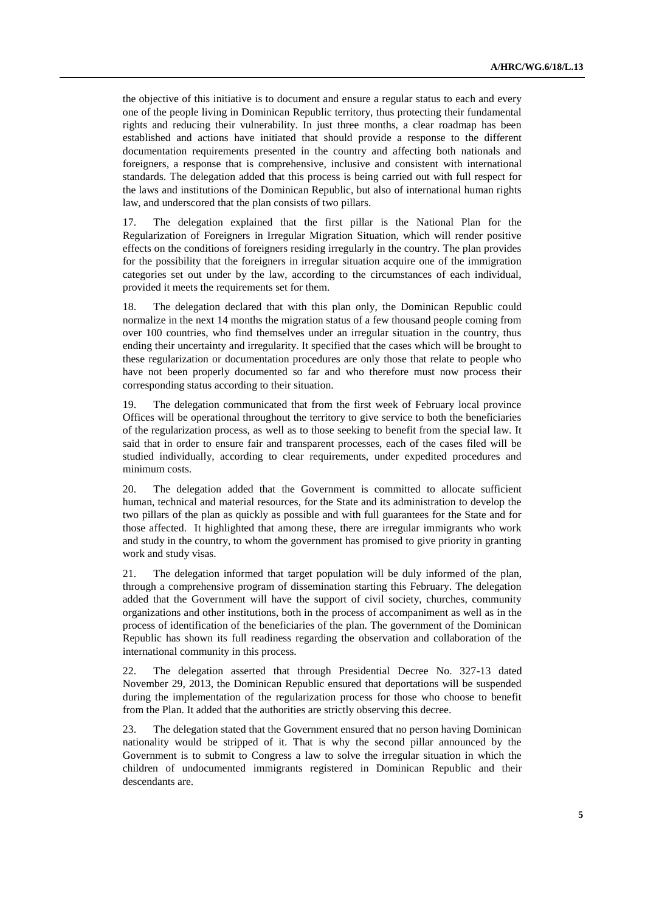the objective of this initiative is to document and ensure a regular status to each and every one of the people living in Dominican Republic territory, thus protecting their fundamental rights and reducing their vulnerability. In just three months, a clear roadmap has been established and actions have initiated that should provide a response to the different documentation requirements presented in the country and affecting both nationals and foreigners, a response that is comprehensive, inclusive and consistent with international standards. The delegation added that this process is being carried out with full respect for the laws and institutions of the Dominican Republic, but also of international human rights law, and underscored that the plan consists of two pillars.

17. The delegation explained that the first pillar is the National Plan for the Regularization of Foreigners in Irregular Migration Situation, which will render positive effects on the conditions of foreigners residing irregularly in the country. The plan provides for the possibility that the foreigners in irregular situation acquire one of the immigration categories set out under by the law, according to the circumstances of each individual, provided it meets the requirements set for them.

18. The delegation declared that with this plan only, the Dominican Republic could normalize in the next 14 months the migration status of a few thousand people coming from over 100 countries, who find themselves under an irregular situation in the country, thus ending their uncertainty and irregularity. It specified that the cases which will be brought to these regularization or documentation procedures are only those that relate to people who have not been properly documented so far and who therefore must now process their corresponding status according to their situation.

19. The delegation communicated that from the first week of February local province Offices will be operational throughout the territory to give service to both the beneficiaries of the regularization process, as well as to those seeking to benefit from the special law. It said that in order to ensure fair and transparent processes, each of the cases filed will be studied individually, according to clear requirements, under expedited procedures and minimum costs.

20. The delegation added that the Government is committed to allocate sufficient human, technical and material resources, for the State and its administration to develop the two pillars of the plan as quickly as possible and with full guarantees for the State and for those affected. It highlighted that among these, there are irregular immigrants who work and study in the country, to whom the government has promised to give priority in granting work and study visas.

21. The delegation informed that target population will be duly informed of the plan, through a comprehensive program of dissemination starting this February. The delegation added that the Government will have the support of civil society, churches, community organizations and other institutions, both in the process of accompaniment as well as in the process of identification of the beneficiaries of the plan. The government of the Dominican Republic has shown its full readiness regarding the observation and collaboration of the international community in this process.

22. The delegation asserted that through Presidential Decree No. 327-13 dated November 29, 2013, the Dominican Republic ensured that deportations will be suspended during the implementation of the regularization process for those who choose to benefit from the Plan. It added that the authorities are strictly observing this decree.

23. The delegation stated that the Government ensured that no person having Dominican nationality would be stripped of it. That is why the second pillar announced by the Government is to submit to Congress a law to solve the irregular situation in which the children of undocumented immigrants registered in Dominican Republic and their descendants are.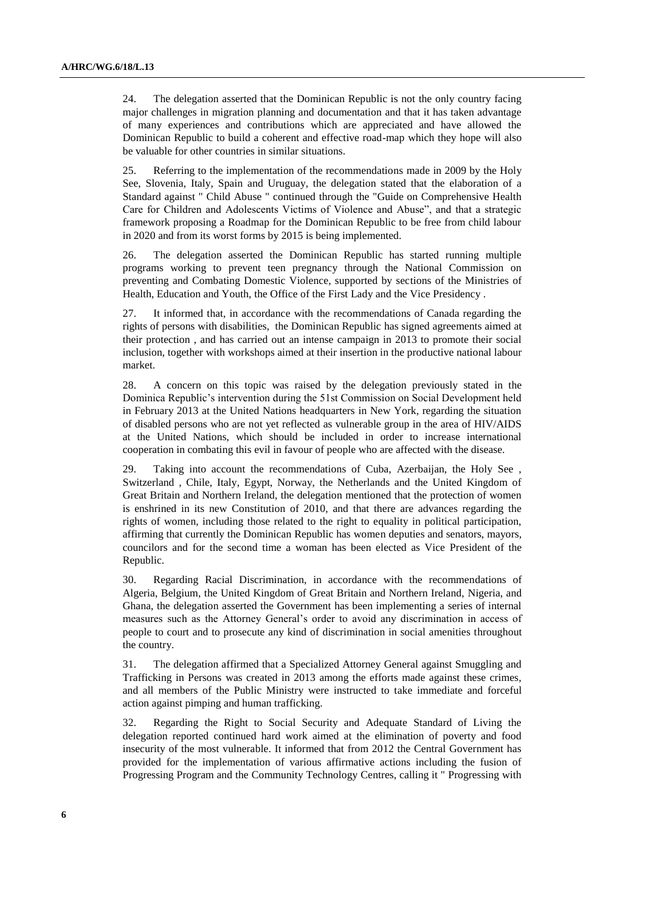24. The delegation asserted that the Dominican Republic is not the only country facing major challenges in migration planning and documentation and that it has taken advantage of many experiences and contributions which are appreciated and have allowed the Dominican Republic to build a coherent and effective road-map which they hope will also be valuable for other countries in similar situations.

25. Referring to the implementation of the recommendations made in 2009 by the Holy See, Slovenia, Italy, Spain and Uruguay, the delegation stated that the elaboration of a Standard against " Child Abuse " continued through the "Guide on Comprehensive Health Care for Children and Adolescents Victims of Violence and Abuse", and that a strategic framework proposing a Roadmap for the Dominican Republic to be free from child labour in 2020 and from its worst forms by 2015 is being implemented.

26. The delegation asserted the Dominican Republic has started running multiple programs working to prevent teen pregnancy through the National Commission on preventing and Combating Domestic Violence, supported by sections of the Ministries of Health, Education and Youth, the Office of the First Lady and the Vice Presidency .

27. It informed that, in accordance with the recommendations of Canada regarding the rights of persons with disabilities, the Dominican Republic has signed agreements aimed at their protection , and has carried out an intense campaign in 2013 to promote their social inclusion, together with workshops aimed at their insertion in the productive national labour market.

28. A concern on this topic was raised by the delegation previously stated in the Dominica Republic's intervention during the 51st Commission on Social Development held in February 2013 at the United Nations headquarters in New York, regarding the situation of disabled persons who are not yet reflected as vulnerable group in the area of HIV/AIDS at the United Nations, which should be included in order to increase international cooperation in combating this evil in favour of people who are affected with the disease.

29. Taking into account the recommendations of Cuba, Azerbaijan, the Holy See , Switzerland , Chile, Italy, Egypt, Norway, the Netherlands and the United Kingdom of Great Britain and Northern Ireland, the delegation mentioned that the protection of women is enshrined in its new Constitution of 2010, and that there are advances regarding the rights of women, including those related to the right to equality in political participation, affirming that currently the Dominican Republic has women deputies and senators, mayors, councilors and for the second time a woman has been elected as Vice President of the Republic.

30. Regarding Racial Discrimination, in accordance with the recommendations of Algeria, Belgium, the United Kingdom of Great Britain and Northern Ireland, Nigeria, and Ghana, the delegation asserted the Government has been implementing a series of internal measures such as the Attorney General's order to avoid any discrimination in access of people to court and to prosecute any kind of discrimination in social amenities throughout the country.

31. The delegation affirmed that a Specialized Attorney General against Smuggling and Trafficking in Persons was created in 2013 among the efforts made against these crimes, and all members of the Public Ministry were instructed to take immediate and forceful action against pimping and human trafficking.

32. Regarding the Right to Social Security and Adequate Standard of Living the delegation reported continued hard work aimed at the elimination of poverty and food insecurity of the most vulnerable. It informed that from 2012 the Central Government has provided for the implementation of various affirmative actions including the fusion of Progressing Program and the Community Technology Centres, calling it " Progressing with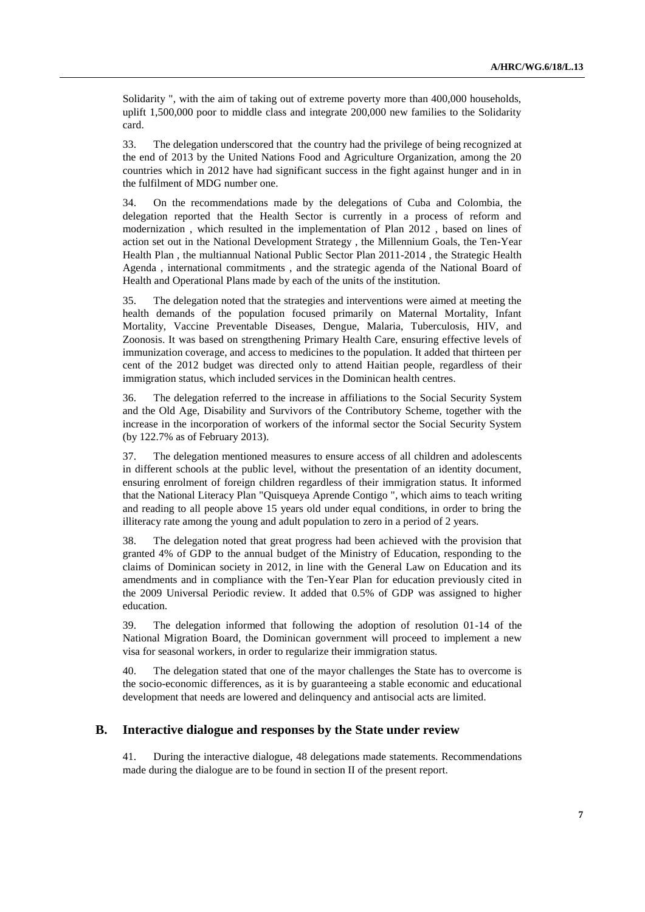Solidarity ", with the aim of taking out of extreme poverty more than 400,000 households, uplift 1,500,000 poor to middle class and integrate 200,000 new families to the Solidarity card.

33. The delegation underscored that the country had the privilege of being recognized at the end of 2013 by the United Nations Food and Agriculture Organization, among the 20 countries which in 2012 have had significant success in the fight against hunger and in in the fulfilment of MDG number one.

34. On the recommendations made by the delegations of Cuba and Colombia, the delegation reported that the Health Sector is currently in a process of reform and modernization , which resulted in the implementation of Plan 2012 , based on lines of action set out in the National Development Strategy , the Millennium Goals, the Ten-Year Health Plan , the multiannual National Public Sector Plan 2011-2014 , the Strategic Health Agenda , international commitments , and the strategic agenda of the National Board of Health and Operational Plans made by each of the units of the institution.

35. The delegation noted that the strategies and interventions were aimed at meeting the health demands of the population focused primarily on Maternal Mortality, Infant Mortality, Vaccine Preventable Diseases, Dengue, Malaria, Tuberculosis, HIV, and Zoonosis. It was based on strengthening Primary Health Care, ensuring effective levels of immunization coverage, and access to medicines to the population. It added that thirteen per cent of the 2012 budget was directed only to attend Haitian people, regardless of their immigration status, which included services in the Dominican health centres.

36. The delegation referred to the increase in affiliations to the Social Security System and the Old Age, Disability and Survivors of the Contributory Scheme, together with the increase in the incorporation of workers of the informal sector the Social Security System (by 122.7% as of February 2013).

37. The delegation mentioned measures to ensure access of all children and adolescents in different schools at the public level, without the presentation of an identity document, ensuring enrolment of foreign children regardless of their immigration status. It informed that the National Literacy Plan "Quisqueya Aprende Contigo ", which aims to teach writing and reading to all people above 15 years old under equal conditions, in order to bring the illiteracy rate among the young and adult population to zero in a period of 2 years.

38. The delegation noted that great progress had been achieved with the provision that granted 4% of GDP to the annual budget of the Ministry of Education, responding to the claims of Dominican society in 2012, in line with the General Law on Education and its amendments and in compliance with the Ten-Year Plan for education previously cited in the 2009 Universal Periodic review. It added that 0.5% of GDP was assigned to higher education.

39. The delegation informed that following the adoption of resolution 01-14 of the National Migration Board, the Dominican government will proceed to implement a new visa for seasonal workers, in order to regularize their immigration status.

40. The delegation stated that one of the mayor challenges the State has to overcome is the socio-economic differences, as it is by guaranteeing a stable economic and educational development that needs are lowered and delinquency and antisocial acts are limited.

### **B. Interactive dialogue and responses by the State under review**

41. During the interactive dialogue, 48 delegations made statements. Recommendations made during the dialogue are to be found in section II of the present report.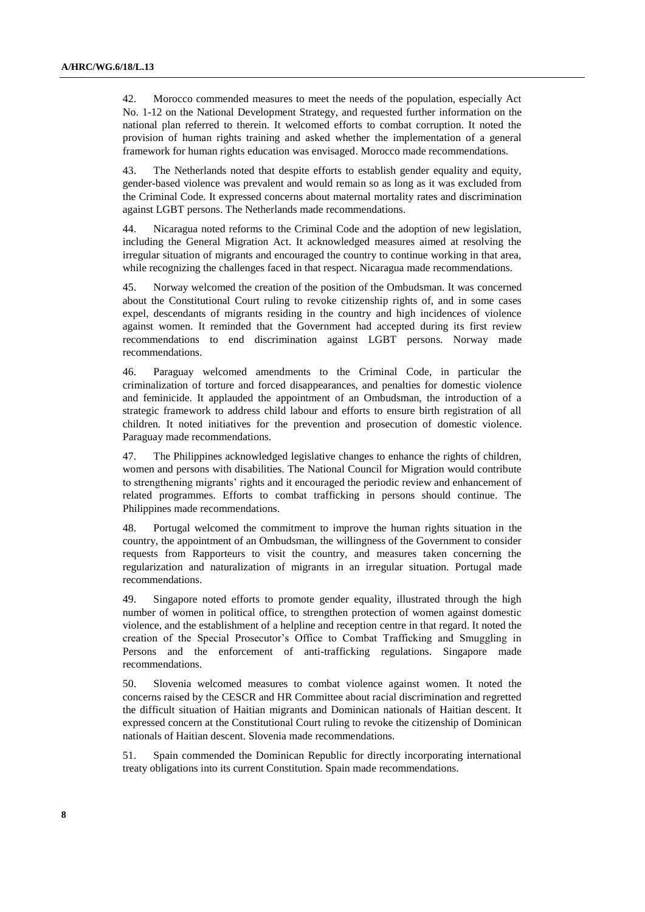42. Morocco commended measures to meet the needs of the population, especially Act No. 1-12 on the National Development Strategy, and requested further information on the national plan referred to therein. It welcomed efforts to combat corruption. It noted the provision of human rights training and asked whether the implementation of a general framework for human rights education was envisaged. Morocco made recommendations.

43. The Netherlands noted that despite efforts to establish gender equality and equity, gender-based violence was prevalent and would remain so as long as it was excluded from the Criminal Code. It expressed concerns about maternal mortality rates and discrimination against LGBT persons. The Netherlands made recommendations.

44. Nicaragua noted reforms to the Criminal Code and the adoption of new legislation, including the General Migration Act. It acknowledged measures aimed at resolving the irregular situation of migrants and encouraged the country to continue working in that area, while recognizing the challenges faced in that respect. Nicaragua made recommendations.

45. Norway welcomed the creation of the position of the Ombudsman. It was concerned about the Constitutional Court ruling to revoke citizenship rights of, and in some cases expel, descendants of migrants residing in the country and high incidences of violence against women. It reminded that the Government had accepted during its first review recommendations to end discrimination against LGBT persons. Norway made recommendations.

46. Paraguay welcomed amendments to the Criminal Code, in particular the criminalization of torture and forced disappearances, and penalties for domestic violence and feminicide. It applauded the appointment of an Ombudsman, the introduction of a strategic framework to address child labour and efforts to ensure birth registration of all children. It noted initiatives for the prevention and prosecution of domestic violence. Paraguay made recommendations.

47. The Philippines acknowledged legislative changes to enhance the rights of children, women and persons with disabilities. The National Council for Migration would contribute to strengthening migrants' rights and it encouraged the periodic review and enhancement of related programmes. Efforts to combat trafficking in persons should continue. The Philippines made recommendations.

48. Portugal welcomed the commitment to improve the human rights situation in the country, the appointment of an Ombudsman, the willingness of the Government to consider requests from Rapporteurs to visit the country, and measures taken concerning the regularization and naturalization of migrants in an irregular situation. Portugal made recommendations.

49. Singapore noted efforts to promote gender equality, illustrated through the high number of women in political office, to strengthen protection of women against domestic violence, and the establishment of a helpline and reception centre in that regard. It noted the creation of the Special Prosecutor's Office to Combat Trafficking and Smuggling in Persons and the enforcement of anti-trafficking regulations. Singapore made recommendations.

50. Slovenia welcomed measures to combat violence against women. It noted the concerns raised by the CESCR and HR Committee about racial discrimination and regretted the difficult situation of Haitian migrants and Dominican nationals of Haitian descent. It expressed concern at the Constitutional Court ruling to revoke the citizenship of Dominican nationals of Haitian descent. Slovenia made recommendations.

51. Spain commended the Dominican Republic for directly incorporating international treaty obligations into its current Constitution. Spain made recommendations.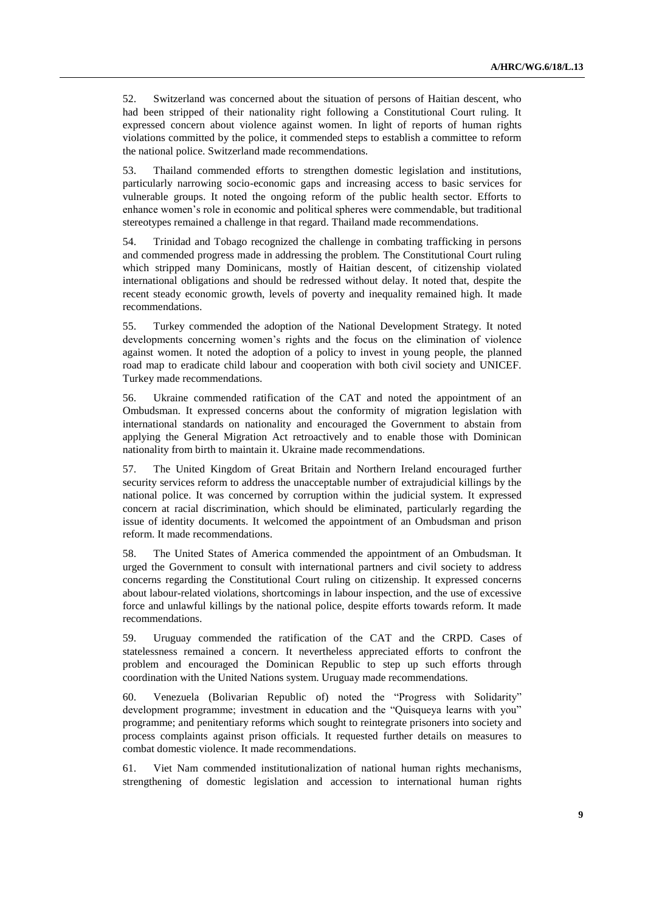52. Switzerland was concerned about the situation of persons of Haitian descent, who had been stripped of their nationality right following a Constitutional Court ruling. It expressed concern about violence against women. In light of reports of human rights violations committed by the police, it commended steps to establish a committee to reform the national police. Switzerland made recommendations.

53. Thailand commended efforts to strengthen domestic legislation and institutions, particularly narrowing socio-economic gaps and increasing access to basic services for vulnerable groups. It noted the ongoing reform of the public health sector. Efforts to enhance women's role in economic and political spheres were commendable, but traditional stereotypes remained a challenge in that regard. Thailand made recommendations.

54. Trinidad and Tobago recognized the challenge in combating trafficking in persons and commended progress made in addressing the problem. The Constitutional Court ruling which stripped many Dominicans, mostly of Haitian descent, of citizenship violated international obligations and should be redressed without delay. It noted that, despite the recent steady economic growth, levels of poverty and inequality remained high. It made recommendations.

55. Turkey commended the adoption of the National Development Strategy. It noted developments concerning women's rights and the focus on the elimination of violence against women. It noted the adoption of a policy to invest in young people, the planned road map to eradicate child labour and cooperation with both civil society and UNICEF. Turkey made recommendations.

56. Ukraine commended ratification of the CAT and noted the appointment of an Ombudsman. It expressed concerns about the conformity of migration legislation with international standards on nationality and encouraged the Government to abstain from applying the General Migration Act retroactively and to enable those with Dominican nationality from birth to maintain it. Ukraine made recommendations.

57. The United Kingdom of Great Britain and Northern Ireland encouraged further security services reform to address the unacceptable number of extrajudicial killings by the national police. It was concerned by corruption within the judicial system. It expressed concern at racial discrimination, which should be eliminated, particularly regarding the issue of identity documents. It welcomed the appointment of an Ombudsman and prison reform. It made recommendations.

58. The United States of America commended the appointment of an Ombudsman. It urged the Government to consult with international partners and civil society to address concerns regarding the Constitutional Court ruling on citizenship. It expressed concerns about labour-related violations, shortcomings in labour inspection, and the use of excessive force and unlawful killings by the national police, despite efforts towards reform. It made recommendations.

59. Uruguay commended the ratification of the CAT and the CRPD. Cases of statelessness remained a concern. It nevertheless appreciated efforts to confront the problem and encouraged the Dominican Republic to step up such efforts through coordination with the United Nations system. Uruguay made recommendations.

60. Venezuela (Bolivarian Republic of) noted the "Progress with Solidarity" development programme; investment in education and the "Quisqueya learns with you" programme; and penitentiary reforms which sought to reintegrate prisoners into society and process complaints against prison officials. It requested further details on measures to combat domestic violence. It made recommendations.

61. Viet Nam commended institutionalization of national human rights mechanisms, strengthening of domestic legislation and accession to international human rights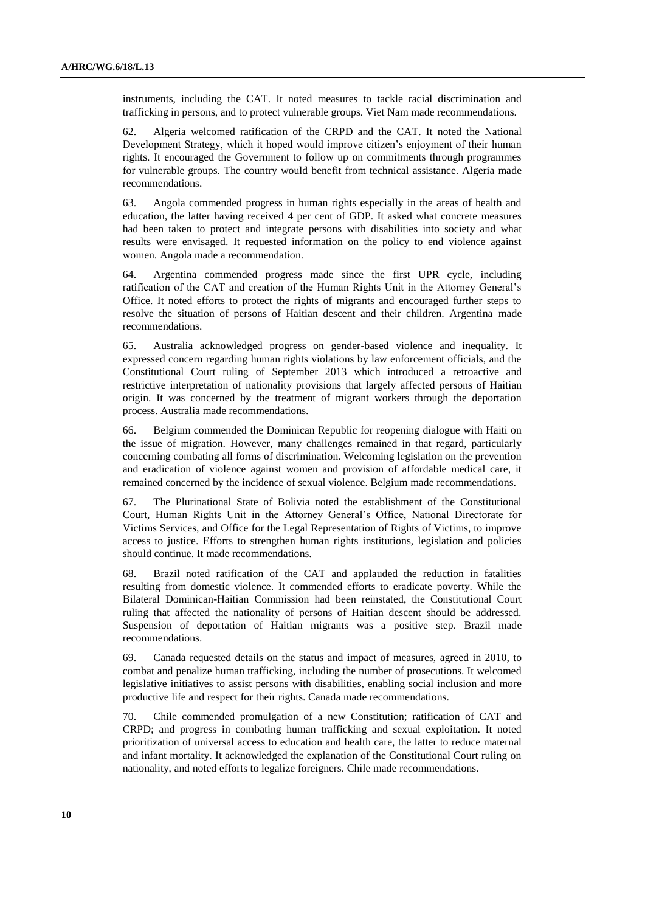instruments, including the CAT. It noted measures to tackle racial discrimination and trafficking in persons, and to protect vulnerable groups. Viet Nam made recommendations.

62. Algeria welcomed ratification of the CRPD and the CAT. It noted the National Development Strategy, which it hoped would improve citizen's enjoyment of their human rights. It encouraged the Government to follow up on commitments through programmes for vulnerable groups. The country would benefit from technical assistance. Algeria made recommendations.

63. Angola commended progress in human rights especially in the areas of health and education, the latter having received 4 per cent of GDP. It asked what concrete measures had been taken to protect and integrate persons with disabilities into society and what results were envisaged. It requested information on the policy to end violence against women. Angola made a recommendation.

64. Argentina commended progress made since the first UPR cycle, including ratification of the CAT and creation of the Human Rights Unit in the Attorney General's Office. It noted efforts to protect the rights of migrants and encouraged further steps to resolve the situation of persons of Haitian descent and their children. Argentina made recommendations.

65. Australia acknowledged progress on gender-based violence and inequality. It expressed concern regarding human rights violations by law enforcement officials, and the Constitutional Court ruling of September 2013 which introduced a retroactive and restrictive interpretation of nationality provisions that largely affected persons of Haitian origin. It was concerned by the treatment of migrant workers through the deportation process. Australia made recommendations.

66. Belgium commended the Dominican Republic for reopening dialogue with Haiti on the issue of migration. However, many challenges remained in that regard, particularly concerning combating all forms of discrimination. Welcoming legislation on the prevention and eradication of violence against women and provision of affordable medical care, it remained concerned by the incidence of sexual violence. Belgium made recommendations.

67. The Plurinational State of Bolivia noted the establishment of the Constitutional Court, Human Rights Unit in the Attorney General's Office, National Directorate for Victims Services, and Office for the Legal Representation of Rights of Victims, to improve access to justice. Efforts to strengthen human rights institutions, legislation and policies should continue. It made recommendations.

68. Brazil noted ratification of the CAT and applauded the reduction in fatalities resulting from domestic violence. It commended efforts to eradicate poverty. While the Bilateral Dominican-Haitian Commission had been reinstated, the Constitutional Court ruling that affected the nationality of persons of Haitian descent should be addressed. Suspension of deportation of Haitian migrants was a positive step. Brazil made recommendations.

69. Canada requested details on the status and impact of measures, agreed in 2010, to combat and penalize human trafficking, including the number of prosecutions. It welcomed legislative initiatives to assist persons with disabilities, enabling social inclusion and more productive life and respect for their rights. Canada made recommendations.

70. Chile commended promulgation of a new Constitution; ratification of CAT and CRPD; and progress in combating human trafficking and sexual exploitation. It noted prioritization of universal access to education and health care, the latter to reduce maternal and infant mortality. It acknowledged the explanation of the Constitutional Court ruling on nationality, and noted efforts to legalize foreigners. Chile made recommendations.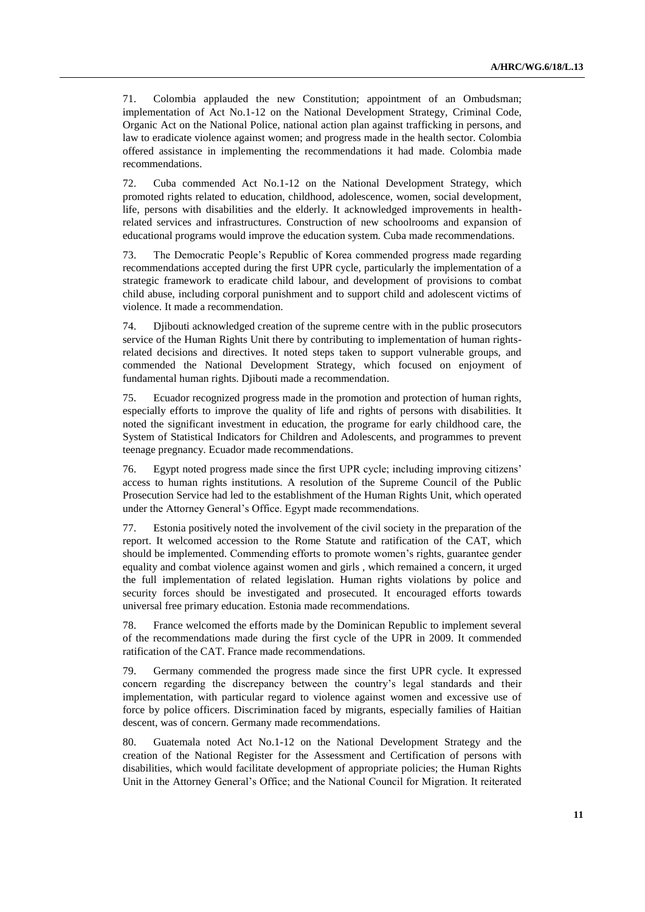71. Colombia applauded the new Constitution; appointment of an Ombudsman; implementation of Act No.1-12 on the National Development Strategy, Criminal Code, Organic Act on the National Police, national action plan against trafficking in persons, and law to eradicate violence against women; and progress made in the health sector. Colombia offered assistance in implementing the recommendations it had made. Colombia made recommendations.

72. Cuba commended Act No.1-12 on the National Development Strategy, which promoted rights related to education, childhood, adolescence, women, social development, life, persons with disabilities and the elderly. It acknowledged improvements in healthrelated services and infrastructures. Construction of new schoolrooms and expansion of educational programs would improve the education system. Cuba made recommendations.

73. The Democratic People's Republic of Korea commended progress made regarding recommendations accepted during the first UPR cycle, particularly the implementation of a strategic framework to eradicate child labour, and development of provisions to combat child abuse, including corporal punishment and to support child and adolescent victims of violence. It made a recommendation.

74. Djibouti acknowledged creation of the supreme centre with in the public prosecutors service of the Human Rights Unit there by contributing to implementation of human rightsrelated decisions and directives. It noted steps taken to support vulnerable groups, and commended the National Development Strategy, which focused on enjoyment of fundamental human rights. Djibouti made a recommendation.

75. Ecuador recognized progress made in the promotion and protection of human rights, especially efforts to improve the quality of life and rights of persons with disabilities. It noted the significant investment in education, the programe for early childhood care, the System of Statistical Indicators for Children and Adolescents, and programmes to prevent teenage pregnancy. Ecuador made recommendations.

76. Egypt noted progress made since the first UPR cycle; including improving citizens' access to human rights institutions. A resolution of the Supreme Council of the Public Prosecution Service had led to the establishment of the Human Rights Unit, which operated under the Attorney General's Office. Egypt made recommendations.

77. Estonia positively noted the involvement of the civil society in the preparation of the report. It welcomed accession to the Rome Statute and ratification of the CAT, which should be implemented. Commending efforts to promote women's rights, guarantee gender equality and combat violence against women and girls , which remained a concern, it urged the full implementation of related legislation. Human rights violations by police and security forces should be investigated and prosecuted. It encouraged efforts towards universal free primary education. Estonia made recommendations.

78. France welcomed the efforts made by the Dominican Republic to implement several of the recommendations made during the first cycle of the UPR in 2009. It commended ratification of the CAT. France made recommendations.

79. Germany commended the progress made since the first UPR cycle. It expressed concern regarding the discrepancy between the country's legal standards and their implementation, with particular regard to violence against women and excessive use of force by police officers. Discrimination faced by migrants, especially families of Haitian descent, was of concern. Germany made recommendations.

80. Guatemala noted Act No.1-12 on the National Development Strategy and the creation of the National Register for the Assessment and Certification of persons with disabilities, which would facilitate development of appropriate policies; the Human Rights Unit in the Attorney General's Office; and the National Council for Migration. It reiterated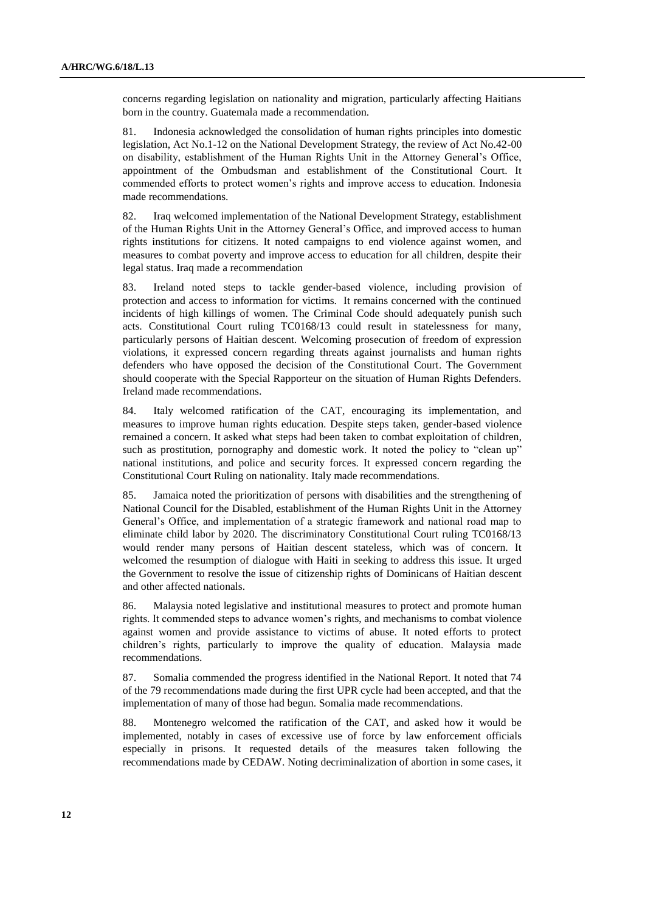concerns regarding legislation on nationality and migration, particularly affecting Haitians born in the country. Guatemala made a recommendation.

81. Indonesia acknowledged the consolidation of human rights principles into domestic legislation, Act No.1-12 on the National Development Strategy, the review of Act No.42-00 on disability, establishment of the Human Rights Unit in the Attorney General's Office, appointment of the Ombudsman and establishment of the Constitutional Court. It commended efforts to protect women's rights and improve access to education. Indonesia made recommendations.

82. Iraq welcomed implementation of the National Development Strategy, establishment of the Human Rights Unit in the Attorney General's Office, and improved access to human rights institutions for citizens. It noted campaigns to end violence against women, and measures to combat poverty and improve access to education for all children, despite their legal status. Iraq made a recommendation

83. Ireland noted steps to tackle gender-based violence, including provision of protection and access to information for victims. It remains concerned with the continued incidents of high killings of women. The Criminal Code should adequately punish such acts. Constitutional Court ruling TC0168/13 could result in statelessness for many, particularly persons of Haitian descent. Welcoming prosecution of freedom of expression violations, it expressed concern regarding threats against journalists and human rights defenders who have opposed the decision of the Constitutional Court. The Government should cooperate with the Special Rapporteur on the situation of Human Rights Defenders. Ireland made recommendations.

84. Italy welcomed ratification of the CAT, encouraging its implementation, and measures to improve human rights education. Despite steps taken, gender-based violence remained a concern. It asked what steps had been taken to combat exploitation of children, such as prostitution, pornography and domestic work. It noted the policy to "clean up" national institutions, and police and security forces. It expressed concern regarding the Constitutional Court Ruling on nationality. Italy made recommendations.

85. Jamaica noted the prioritization of persons with disabilities and the strengthening of National Council for the Disabled, establishment of the Human Rights Unit in the Attorney General's Office, and implementation of a strategic framework and national road map to eliminate child labor by 2020. The discriminatory Constitutional Court ruling TC0168/13 would render many persons of Haitian descent stateless, which was of concern. It welcomed the resumption of dialogue with Haiti in seeking to address this issue. It urged the Government to resolve the issue of citizenship rights of Dominicans of Haitian descent and other affected nationals.

86. Malaysia noted legislative and institutional measures to protect and promote human rights. It commended steps to advance women's rights, and mechanisms to combat violence against women and provide assistance to victims of abuse. It noted efforts to protect children's rights, particularly to improve the quality of education. Malaysia made recommendations.

87. Somalia commended the progress identified in the National Report. It noted that 74 of the 79 recommendations made during the first UPR cycle had been accepted, and that the implementation of many of those had begun. Somalia made recommendations.

88. Montenegro welcomed the ratification of the CAT, and asked how it would be implemented, notably in cases of excessive use of force by law enforcement officials especially in prisons. It requested details of the measures taken following the recommendations made by CEDAW. Noting decriminalization of abortion in some cases, it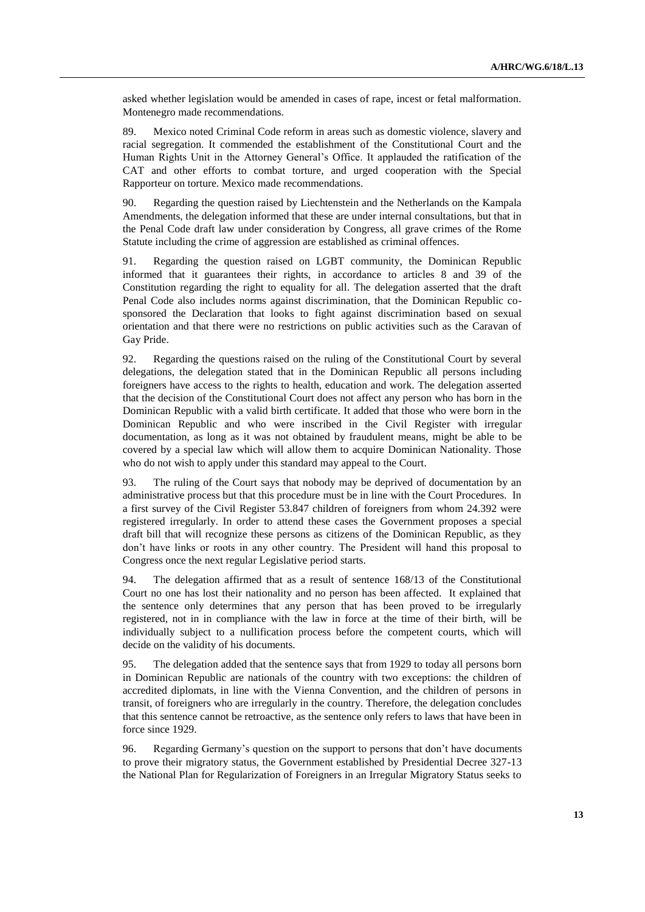asked whether legislation would be amended in cases of rape, incest or fetal malformation. Montenegro made recommendations.

89. Mexico noted Criminal Code reform in areas such as domestic violence, slavery and racial segregation. It commended the establishment of the Constitutional Court and the Human Rights Unit in the Attorney General's Office. It applauded the ratification of the CAT and other efforts to combat torture, and urged cooperation with the Special Rapporteur on torture. Mexico made recommendations.

90. Regarding the question raised by Liechtenstein and the Netherlands on the Kampala Amendments, the delegation informed that these are under internal consultations, but that in the Penal Code draft law under consideration by Congress, all grave crimes of the Rome Statute including the crime of aggression are established as criminal offences.

91. Regarding the question raised on LGBT community, the Dominican Republic informed that it guarantees their rights, in accordance to articles 8 and 39 of the Constitution regarding the right to equality for all. The delegation asserted that the draft Penal Code also includes norms against discrimination, that the Dominican Republic cosponsored the Declaration that looks to fight against discrimination based on sexual orientation and that there were no restrictions on public activities such as the Caravan of Gay Pride.

92. Regarding the questions raised on the ruling of the Constitutional Court by several delegations, the delegation stated that in the Dominican Republic all persons including foreigners have access to the rights to health, education and work. The delegation asserted that the decision of the Constitutional Court does not affect any person who has born in the Dominican Republic with a valid birth certificate. It added that those who were born in the Dominican Republic and who were inscribed in the Civil Register with irregular documentation, as long as it was not obtained by fraudulent means, might be able to be covered by a special law which will allow them to acquire Dominican Nationality. Those who do not wish to apply under this standard may appeal to the Court.

93. The ruling of the Court says that nobody may be deprived of documentation by an administrative process but that this procedure must be in line with the Court Procedures. In a first survey of the Civil Register 53.847 children of foreigners from whom 24.392 were registered irregularly. In order to attend these cases the Government proposes a special draft bill that will recognize these persons as citizens of the Dominican Republic, as they don't have links or roots in any other country. The President will hand this proposal to Congress once the next regular Legislative period starts.

94. The delegation affirmed that as a result of sentence 168/13 of the Constitutional Court no one has lost their nationality and no person has been affected. It explained that the sentence only determines that any person that has been proved to be irregularly registered, not in in compliance with the law in force at the time of their birth, will be individually subject to a nullification process before the competent courts, which will decide on the validity of his documents.

95. The delegation added that the sentence says that from 1929 to today all persons born in Dominican Republic are nationals of the country with two exceptions: the children of accredited diplomats, in line with the Vienna Convention, and the children of persons in transit, of foreigners who are irregularly in the country. Therefore, the delegation concludes that this sentence cannot be retroactive, as the sentence only refers to laws that have been in force since 1929.

96. Regarding Germany's question on the support to persons that don't have documents to prove their migratory status, the Government established by Presidential Decree 327-13 the National Plan for Regularization of Foreigners in an Irregular Migratory Status seeks to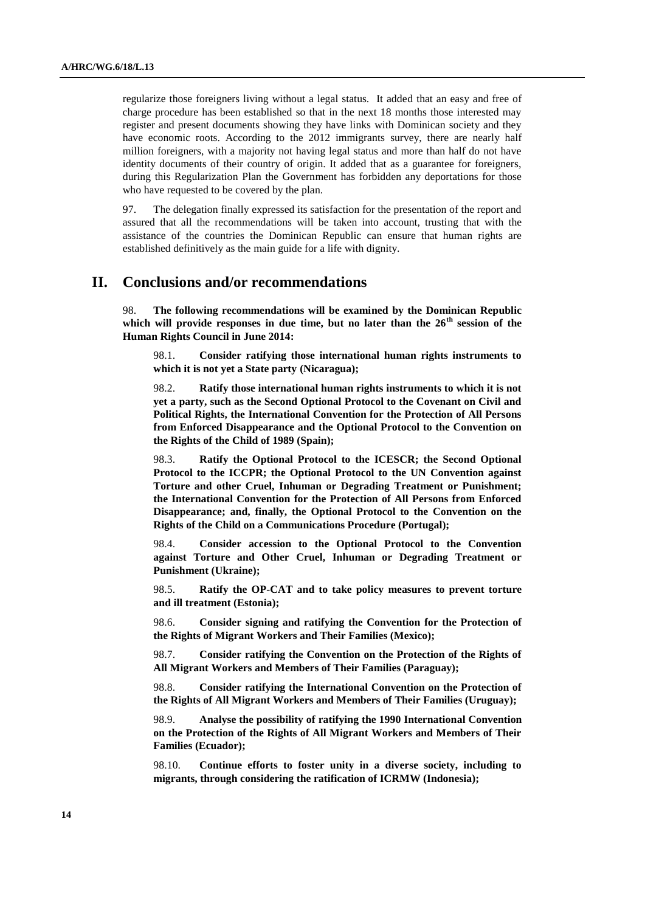regularize those foreigners living without a legal status. It added that an easy and free of charge procedure has been established so that in the next 18 months those interested may register and present documents showing they have links with Dominican society and they have economic roots. According to the 2012 immigrants survey, there are nearly half million foreigners, with a majority not having legal status and more than half do not have identity documents of their country of origin. It added that as a guarantee for foreigners, during this Regularization Plan the Government has forbidden any deportations for those who have requested to be covered by the plan.

97. The delegation finally expressed its satisfaction for the presentation of the report and assured that all the recommendations will be taken into account, trusting that with the assistance of the countries the Dominican Republic can ensure that human rights are established definitively as the main guide for a life with dignity.

### **II. Conclusions and/or recommendations**

98. **The following recommendations will be examined by the Dominican Republic which will provide responses in due time, but no later than the 26th session of the Human Rights Council in June 2014:**

98.1. **Consider ratifying those international human rights instruments to which it is not yet a State party (Nicaragua);**

98.2. **Ratify those international human rights instruments to which it is not yet a party, such as the Second Optional Protocol to the Covenant on Civil and Political Rights, the International Convention for the Protection of All Persons from Enforced Disappearance and the Optional Protocol to the Convention on the Rights of the Child of 1989 (Spain);**

98.3. **Ratify the Optional Protocol to the ICESCR; the Second Optional Protocol to the ICCPR; the Optional Protocol to the UN Convention against Torture and other Cruel, Inhuman or Degrading Treatment or Punishment; the International Convention for the Protection of All Persons from Enforced Disappearance; and, finally, the Optional Protocol to the Convention on the Rights of the Child on a Communications Procedure (Portugal);**

98.4. **Consider accession to the Optional Protocol to the Convention against Torture and Other Cruel, Inhuman or Degrading Treatment or Punishment (Ukraine);**

98.5. **Ratify the OP-CAT and to take policy measures to prevent torture and ill treatment (Estonia);**

98.6. **Consider signing and ratifying the Convention for the Protection of the Rights of Migrant Workers and Their Families (Mexico);**

98.7. **Consider ratifying the Convention on the Protection of the Rights of All Migrant Workers and Members of Their Families (Paraguay);**

98.8. **Consider ratifying the International Convention on the Protection of the Rights of All Migrant Workers and Members of Their Families (Uruguay);**

98.9. **Analyse the possibility of ratifying the 1990 International Convention on the Protection of the Rights of All Migrant Workers and Members of Their Families (Ecuador);**

98.10. **Continue efforts to foster unity in a diverse society, including to migrants, through considering the ratification of ICRMW (Indonesia);**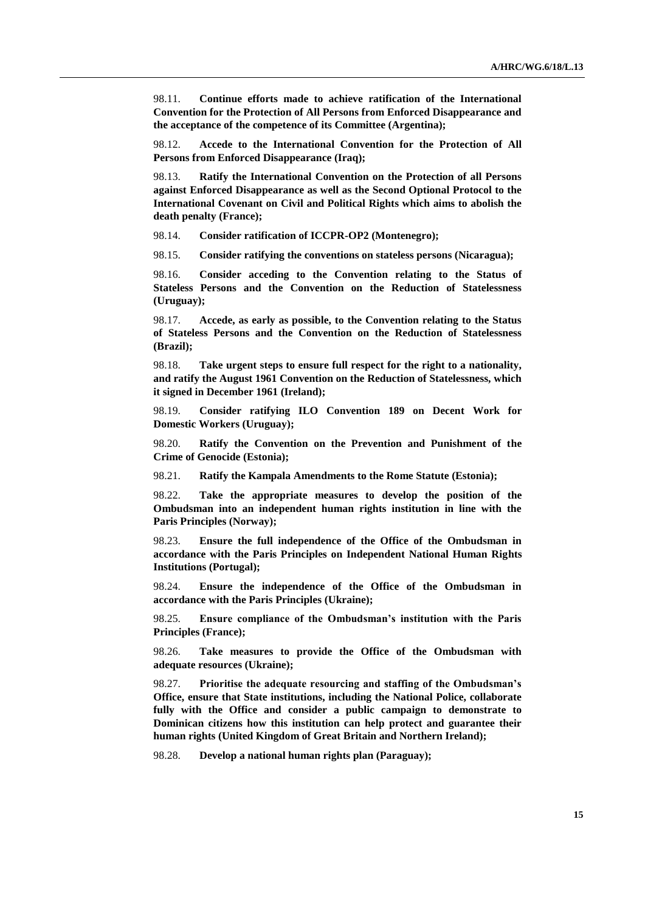98.11. **Continue efforts made to achieve ratification of the International Convention for the Protection of All Persons from Enforced Disappearance and the acceptance of the competence of its Committee (Argentina);**

98.12. **Accede to the International Convention for the Protection of All Persons from Enforced Disappearance (Iraq);**

98.13. **Ratify the International Convention on the Protection of all Persons against Enforced Disappearance as well as the Second Optional Protocol to the International Covenant on Civil and Political Rights which aims to abolish the death penalty (France);**

98.14. **Consider ratification of ICCPR-OP2 (Montenegro);**

98.15. **Consider ratifying the conventions on stateless persons (Nicaragua);**

98.16. **Consider acceding to the Convention relating to the Status of Stateless Persons and the Convention on the Reduction of Statelessness (Uruguay);**

98.17. **Accede, as early as possible, to the Convention relating to the Status of Stateless Persons and the Convention on the Reduction of Statelessness (Brazil);**

98.18. **Take urgent steps to ensure full respect for the right to a nationality, and ratify the August 1961 Convention on the Reduction of Statelessness, which it signed in December 1961 (Ireland);**

98.19. **Consider ratifying ILO Convention 189 on Decent Work for Domestic Workers (Uruguay);**

98.20. **Ratify the Convention on the Prevention and Punishment of the Crime of Genocide (Estonia);**

98.21. **Ratify the Kampala Amendments to the Rome Statute (Estonia);**

98.22. **Take the appropriate measures to develop the position of the Ombudsman into an independent human rights institution in line with the Paris Principles (Norway);**

98.23. **Ensure the full independence of the Office of the Ombudsman in accordance with the Paris Principles on Independent National Human Rights Institutions (Portugal);**

98.24. **Ensure the independence of the Office of the Ombudsman in accordance with the Paris Principles (Ukraine);**

98.25. **Ensure compliance of the Ombudsman's institution with the Paris Principles (France);**

98.26. **Take measures to provide the Office of the Ombudsman with adequate resources (Ukraine);**

98.27. **Prioritise the adequate resourcing and staffing of the Ombudsman's Office, ensure that State institutions, including the National Police, collaborate fully with the Office and consider a public campaign to demonstrate to Dominican citizens how this institution can help protect and guarantee their human rights (United Kingdom of Great Britain and Northern Ireland);**

98.28. **Develop a national human rights plan (Paraguay);**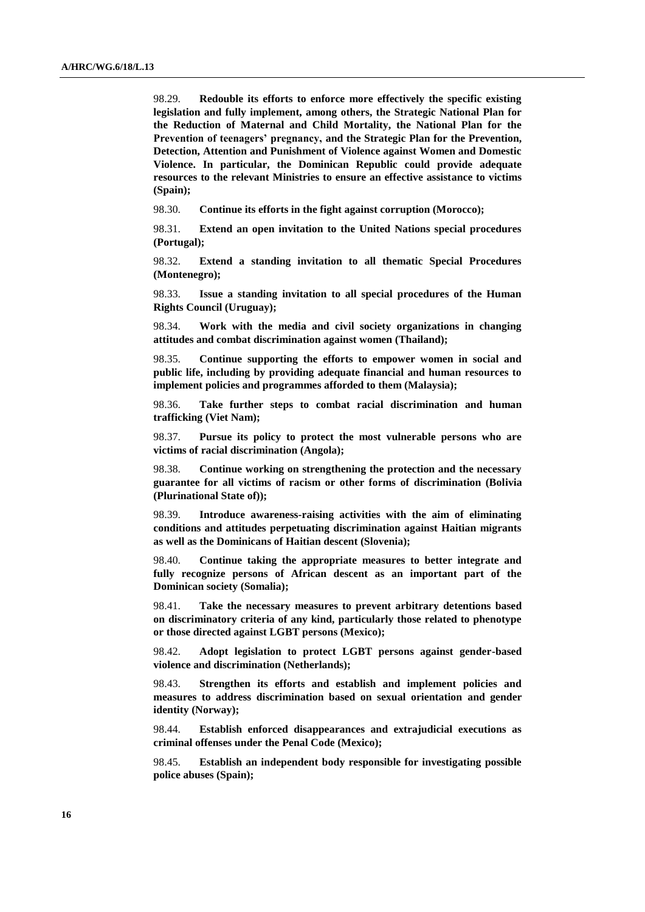98.29. **Redouble its efforts to enforce more effectively the specific existing legislation and fully implement, among others, the Strategic National Plan for the Reduction of Maternal and Child Mortality, the National Plan for the Prevention of teenagers' pregnancy, and the Strategic Plan for the Prevention, Detection, Attention and Punishment of Violence against Women and Domestic Violence. In particular, the Dominican Republic could provide adequate resources to the relevant Ministries to ensure an effective assistance to victims (Spain);**

98.30. **Continue its efforts in the fight against corruption (Morocco);**

98.31. **Extend an open invitation to the United Nations special procedures (Portugal);**

98.32. **Extend a standing invitation to all thematic Special Procedures (Montenegro);**

98.33. **Issue a standing invitation to all special procedures of the Human Rights Council (Uruguay);**

98.34. **Work with the media and civil society organizations in changing attitudes and combat discrimination against women (Thailand);**

98.35. **Continue supporting the efforts to empower women in social and public life, including by providing adequate financial and human resources to implement policies and programmes afforded to them (Malaysia);**

98.36. **Take further steps to combat racial discrimination and human trafficking (Viet Nam);**

98.37. **Pursue its policy to protect the most vulnerable persons who are victims of racial discrimination (Angola);**

98.38. **Continue working on strengthening the protection and the necessary guarantee for all victims of racism or other forms of discrimination (Bolivia (Plurinational State of));**

98.39. **Introduce awareness-raising activities with the aim of eliminating conditions and attitudes perpetuating discrimination against Haitian migrants as well as the Dominicans of Haitian descent (Slovenia);**

98.40. **Continue taking the appropriate measures to better integrate and fully recognize persons of African descent as an important part of the Dominican society (Somalia);**

98.41. **Take the necessary measures to prevent arbitrary detentions based on discriminatory criteria of any kind, particularly those related to phenotype or those directed against LGBT persons (Mexico);**

98.42. **Adopt legislation to protect LGBT persons against gender-based violence and discrimination (Netherlands);**

98.43. **Strengthen its efforts and establish and implement policies and measures to address discrimination based on sexual orientation and gender identity (Norway);**

98.44. **Establish enforced disappearances and extrajudicial executions as criminal offenses under the Penal Code (Mexico);**

98.45. **Establish an independent body responsible for investigating possible police abuses (Spain);**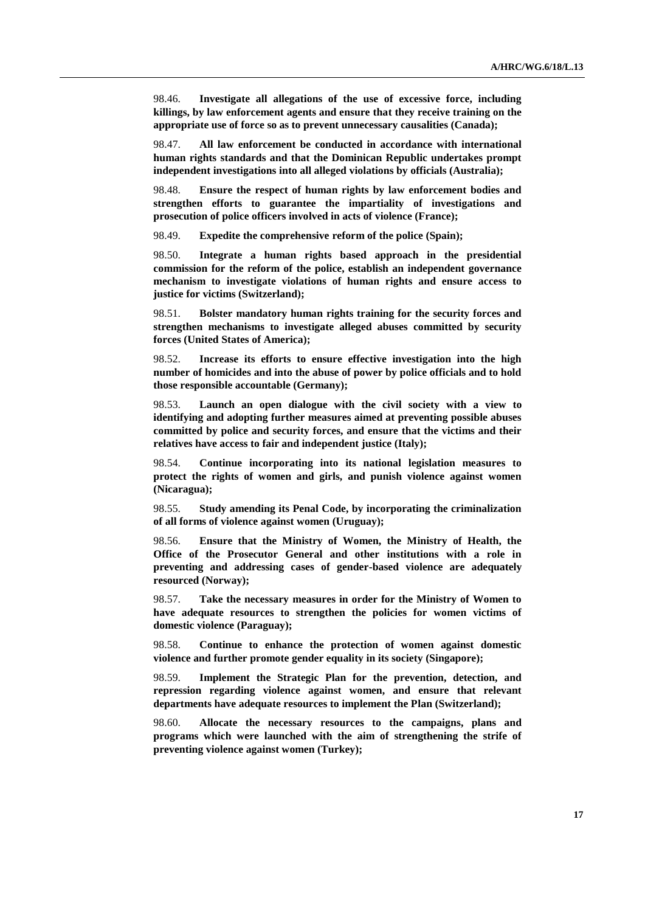98.46. **Investigate all allegations of the use of excessive force, including killings, by law enforcement agents and ensure that they receive training on the appropriate use of force so as to prevent unnecessary causalities (Canada);**

98.47. **All law enforcement be conducted in accordance with international human rights standards and that the Dominican Republic undertakes prompt independent investigations into all alleged violations by officials (Australia);**

98.48. **Ensure the respect of human rights by law enforcement bodies and strengthen efforts to guarantee the impartiality of investigations and prosecution of police officers involved in acts of violence (France);**

98.49. **Expedite the comprehensive reform of the police (Spain);**

98.50. **Integrate a human rights based approach in the presidential commission for the reform of the police, establish an independent governance mechanism to investigate violations of human rights and ensure access to justice for victims (Switzerland);**

98.51. **Bolster mandatory human rights training for the security forces and strengthen mechanisms to investigate alleged abuses committed by security forces (United States of America);**

98.52. **Increase its efforts to ensure effective investigation into the high number of homicides and into the abuse of power by police officials and to hold those responsible accountable (Germany);**

98.53. **Launch an open dialogue with the civil society with a view to identifying and adopting further measures aimed at preventing possible abuses committed by police and security forces, and ensure that the victims and their relatives have access to fair and independent justice (Italy);**

98.54. **Continue incorporating into its national legislation measures to protect the rights of women and girls, and punish violence against women (Nicaragua);**

98.55. **Study amending its Penal Code, by incorporating the criminalization of all forms of violence against women (Uruguay);**

98.56. **Ensure that the Ministry of Women, the Ministry of Health, the Office of the Prosecutor General and other institutions with a role in preventing and addressing cases of gender-based violence are adequately resourced (Norway);**

98.57. **Take the necessary measures in order for the Ministry of Women to have adequate resources to strengthen the policies for women victims of domestic violence (Paraguay);**

98.58. **Continue to enhance the protection of women against domestic violence and further promote gender equality in its society (Singapore);**

98.59. **Implement the Strategic Plan for the prevention, detection, and repression regarding violence against women, and ensure that relevant departments have adequate resources to implement the Plan (Switzerland);**

98.60. **Allocate the necessary resources to the campaigns, plans and programs which were launched with the aim of strengthening the strife of preventing violence against women (Turkey);**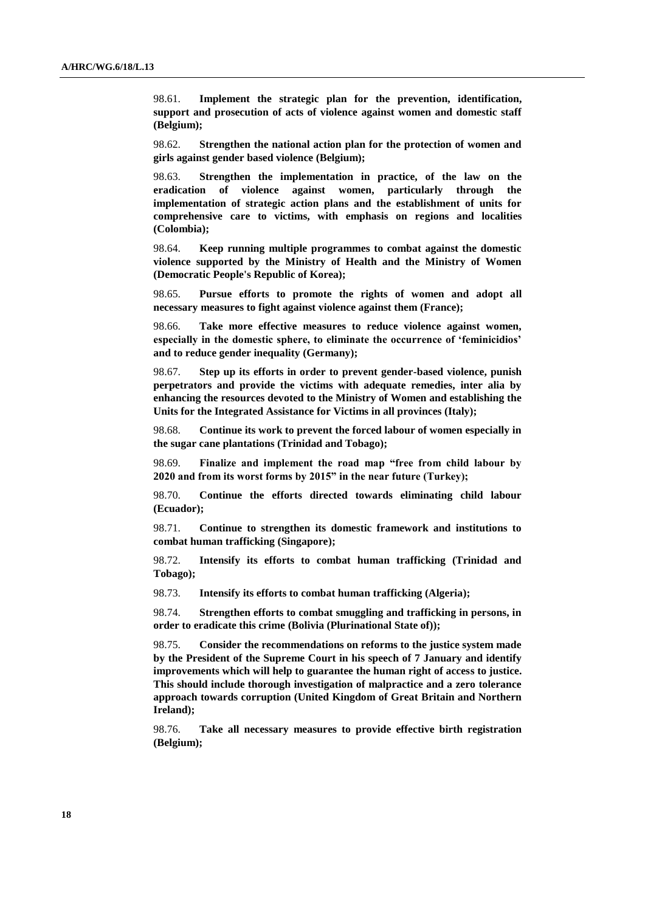98.61. **Implement the strategic plan for the prevention, identification, support and prosecution of acts of violence against women and domestic staff (Belgium);**

98.62. **Strengthen the national action plan for the protection of women and girls against gender based violence (Belgium);**

98.63. **Strengthen the implementation in practice, of the law on the eradication of violence against women, particularly through the implementation of strategic action plans and the establishment of units for comprehensive care to victims, with emphasis on regions and localities (Colombia);**

98.64. **Keep running multiple programmes to combat against the domestic violence supported by the Ministry of Health and the Ministry of Women (Democratic People's Republic of Korea);**

98.65. **Pursue efforts to promote the rights of women and adopt all necessary measures to fight against violence against them (France);**

98.66. **Take more effective measures to reduce violence against women, especially in the domestic sphere, to eliminate the occurrence of 'feminicidios' and to reduce gender inequality (Germany);**

98.67. **Step up its efforts in order to prevent gender-based violence, punish perpetrators and provide the victims with adequate remedies, inter alia by enhancing the resources devoted to the Ministry of Women and establishing the Units for the Integrated Assistance for Victims in all provinces (Italy);**

98.68. **Continue its work to prevent the forced labour of women especially in the sugar cane plantations (Trinidad and Tobago);**

98.69. **Finalize and implement the road map "free from child labour by 2020 and from its worst forms by 2015" in the near future (Turkey);** 

98.70. **Continue the efforts directed towards eliminating child labour (Ecuador);**

98.71. **Continue to strengthen its domestic framework and institutions to combat human trafficking (Singapore);**

98.72. **Intensify its efforts to combat human trafficking (Trinidad and Tobago);**

98.73. **Intensify its efforts to combat human trafficking (Algeria);**

98.74. **Strengthen efforts to combat smuggling and trafficking in persons, in order to eradicate this crime (Bolivia (Plurinational State of));**

98.75. **Consider the recommendations on reforms to the justice system made by the President of the Supreme Court in his speech of 7 January and identify improvements which will help to guarantee the human right of access to justice. This should include thorough investigation of malpractice and a zero tolerance approach towards corruption (United Kingdom of Great Britain and Northern Ireland);**

98.76. **Take all necessary measures to provide effective birth registration (Belgium);**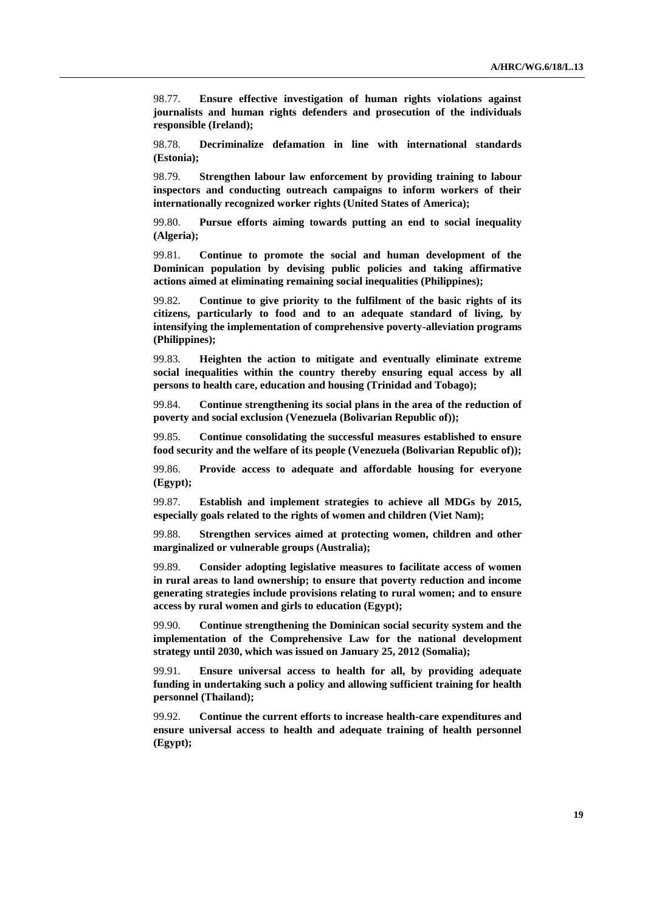98.77. **Ensure effective investigation of human rights violations against journalists and human rights defenders and prosecution of the individuals responsible (Ireland);**

98.78. **Decriminalize defamation in line with international standards (Estonia);**

98.79. **Strengthen labour law enforcement by providing training to labour inspectors and conducting outreach campaigns to inform workers of their internationally recognized worker rights (United States of America);**

99.80. **Pursue efforts aiming towards putting an end to social inequality (Algeria);**

99.81. **Continue to promote the social and human development of the Dominican population by devising public policies and taking affirmative actions aimed at eliminating remaining social inequalities (Philippines);**

99.82. **Continue to give priority to the fulfilment of the basic rights of its citizens, particularly to food and to an adequate standard of living, by intensifying the implementation of comprehensive poverty-alleviation programs (Philippines);**

99.83. **Heighten the action to mitigate and eventually eliminate extreme social inequalities within the country thereby ensuring equal access by all persons to health care, education and housing (Trinidad and Tobago);**

99.84. **Continue strengthening its social plans in the area of the reduction of poverty and social exclusion (Venezuela (Bolivarian Republic of));**

99.85. **Continue consolidating the successful measures established to ensure food security and the welfare of its people (Venezuela (Bolivarian Republic of));**

99.86. **Provide access to adequate and affordable housing for everyone (Egypt);**

99.87. **Establish and implement strategies to achieve all MDGs by 2015, especially goals related to the rights of women and children (Viet Nam);**

99.88. **Strengthen services aimed at protecting women, children and other marginalized or vulnerable groups (Australia);**

99.89. **Consider adopting legislative measures to facilitate access of women in rural areas to land ownership; to ensure that poverty reduction and income generating strategies include provisions relating to rural women; and to ensure access by rural women and girls to education (Egypt);**

99.90. **Continue strengthening the Dominican social security system and the implementation of the Comprehensive Law for the national development strategy until 2030, which was issued on January 25, 2012 (Somalia);**

99.91. **Ensure universal access to health for all, by providing adequate funding in undertaking such a policy and allowing sufficient training for health personnel (Thailand);**

99.92. **Continue the current efforts to increase health-care expenditures and ensure universal access to health and adequate training of health personnel (Egypt);**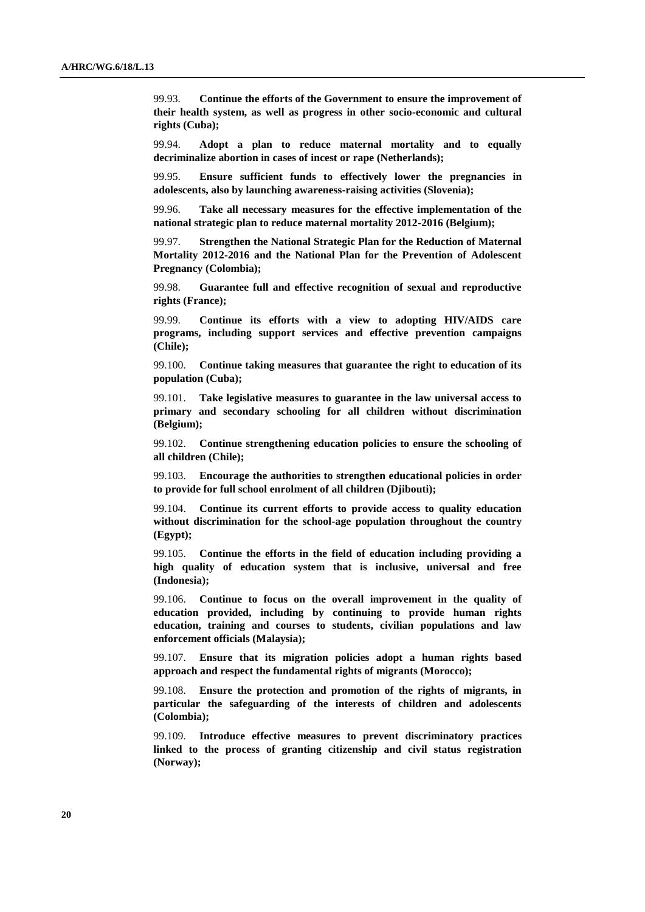99.93. **Continue the efforts of the Government to ensure the improvement of their health system, as well as progress in other socio-economic and cultural rights (Cuba);**

99.94. **Adopt a plan to reduce maternal mortality and to equally decriminalize abortion in cases of incest or rape (Netherlands);**

99.95. **Ensure sufficient funds to effectively lower the pregnancies in adolescents, also by launching awareness-raising activities (Slovenia);**

99.96. **Take all necessary measures for the effective implementation of the national strategic plan to reduce maternal mortality 2012-2016 (Belgium);**

99.97. **Strengthen the National Strategic Plan for the Reduction of Maternal Mortality 2012-2016 and the National Plan for the Prevention of Adolescent Pregnancy (Colombia);**

99.98. **Guarantee full and effective recognition of sexual and reproductive rights (France);**

99.99. **Continue its efforts with a view to adopting HIV/AIDS care programs, including support services and effective prevention campaigns (Chile);**

99.100. **Continue taking measures that guarantee the right to education of its population (Cuba);**

99.101. **Take legislative measures to guarantee in the law universal access to primary and secondary schooling for all children without discrimination (Belgium);**

99.102. **Continue strengthening education policies to ensure the schooling of all children (Chile);**

99.103. **Encourage the authorities to strengthen educational policies in order to provide for full school enrolment of all children (Djibouti);**

99.104. **Continue its current efforts to provide access to quality education without discrimination for the school-age population throughout the country (Egypt);**

99.105. **Continue the efforts in the field of education including providing a high quality of education system that is inclusive, universal and free (Indonesia);**

99.106. **Continue to focus on the overall improvement in the quality of education provided, including by continuing to provide human rights education, training and courses to students, civilian populations and law enforcement officials (Malaysia);**

99.107. **Ensure that its migration policies adopt a human rights based approach and respect the fundamental rights of migrants (Morocco);**

99.108. **Ensure the protection and promotion of the rights of migrants, in particular the safeguarding of the interests of children and adolescents (Colombia);**

99.109. **Introduce effective measures to prevent discriminatory practices linked to the process of granting citizenship and civil status registration (Norway);**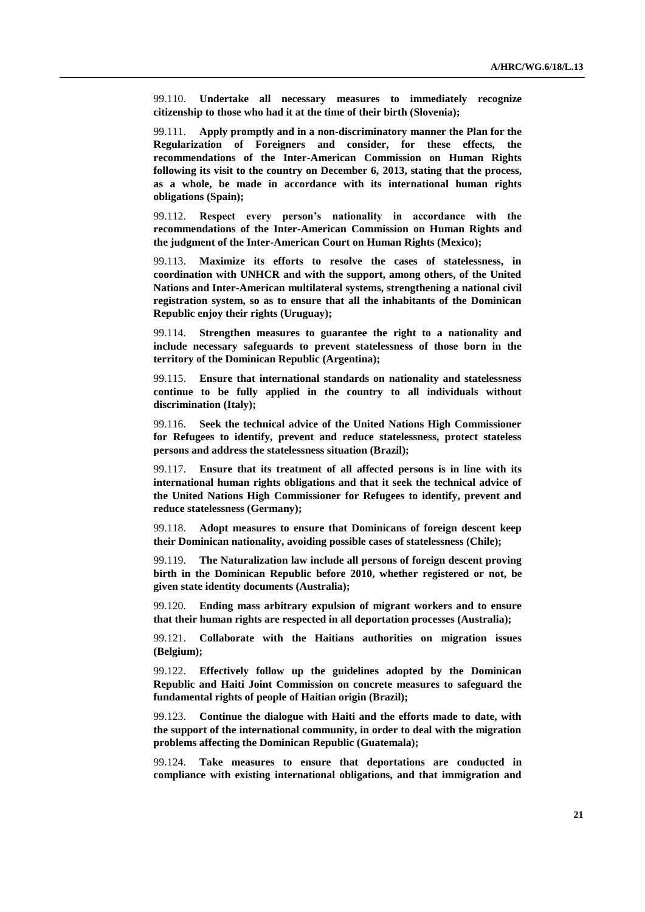99.110. **Undertake all necessary measures to immediately recognize citizenship to those who had it at the time of their birth (Slovenia);**

99.111. **Apply promptly and in a non-discriminatory manner the Plan for the Regularization of Foreigners and consider, for these effects, the recommendations of the Inter-American Commission on Human Rights following its visit to the country on December 6, 2013, stating that the process, as a whole, be made in accordance with its international human rights obligations (Spain);**

99.112. **Respect every person's nationality in accordance with the recommendations of the Inter-American Commission on Human Rights and the judgment of the Inter-American Court on Human Rights (Mexico);**

99.113. **Maximize its efforts to resolve the cases of statelessness, in coordination with UNHCR and with the support, among others, of the United Nations and Inter-American multilateral systems, strengthening a national civil registration system, so as to ensure that all the inhabitants of the Dominican Republic enjoy their rights (Uruguay);**

99.114. **Strengthen measures to guarantee the right to a nationality and include necessary safeguards to prevent statelessness of those born in the territory of the Dominican Republic (Argentina);**

99.115. **Ensure that international standards on nationality and statelessness continue to be fully applied in the country to all individuals without discrimination (Italy);**

99.116. **Seek the technical advice of the United Nations High Commissioner for Refugees to identify, prevent and reduce statelessness, protect stateless persons and address the statelessness situation (Brazil);**

99.117. **Ensure that its treatment of all affected persons is in line with its international human rights obligations and that it seek the technical advice of the United Nations High Commissioner for Refugees to identify, prevent and reduce statelessness (Germany);**

99.118. **Adopt measures to ensure that Dominicans of foreign descent keep their Dominican nationality, avoiding possible cases of statelessness (Chile);**

99.119. **The Naturalization law include all persons of foreign descent proving birth in the Dominican Republic before 2010, whether registered or not, be given state identity documents (Australia);**

99.120. **Ending mass arbitrary expulsion of migrant workers and to ensure that their human rights are respected in all deportation processes (Australia);**

99.121. **Collaborate with the Haitians authorities on migration issues (Belgium);**

99.122. **Effectively follow up the guidelines adopted by the Dominican Republic and Haiti Joint Commission on concrete measures to safeguard the fundamental rights of people of Haitian origin (Brazil);**

99.123. **Continue the dialogue with Haiti and the efforts made to date, with the support of the international community, in order to deal with the migration problems affecting the Dominican Republic (Guatemala);**

99.124. **Take measures to ensure that deportations are conducted in compliance with existing international obligations, and that immigration and**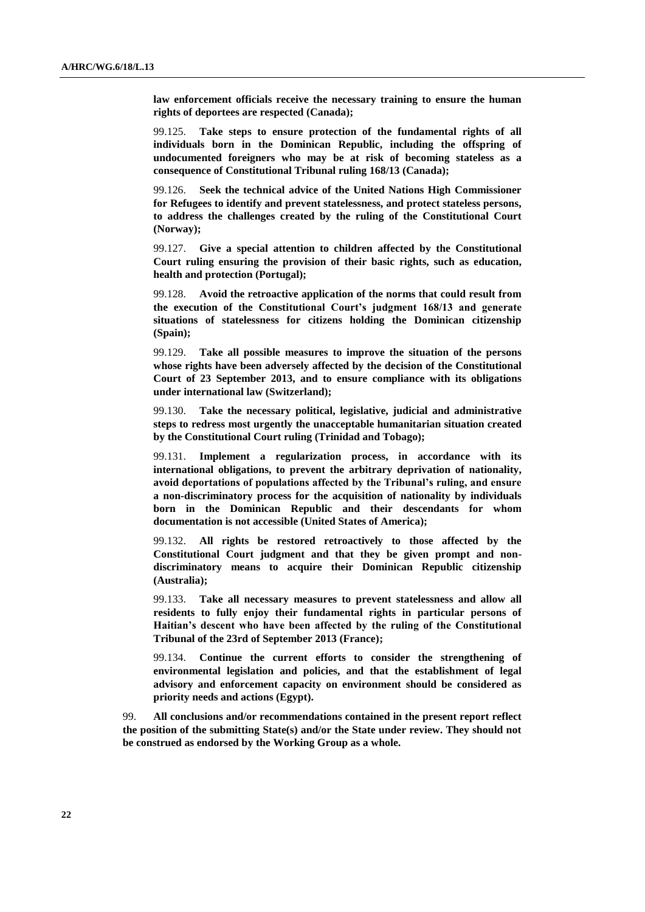**law enforcement officials receive the necessary training to ensure the human rights of deportees are respected (Canada);**

99.125. **Take steps to ensure protection of the fundamental rights of all individuals born in the Dominican Republic, including the offspring of undocumented foreigners who may be at risk of becoming stateless as a consequence of Constitutional Tribunal ruling 168/13 (Canada);**

99.126. **Seek the technical advice of the United Nations High Commissioner for Refugees to identify and prevent statelessness, and protect stateless persons, to address the challenges created by the ruling of the Constitutional Court (Norway);**

99.127. **Give a special attention to children affected by the Constitutional Court ruling ensuring the provision of their basic rights, such as education, health and protection (Portugal);**

99.128. **Avoid the retroactive application of the norms that could result from the execution of the Constitutional Court's judgment 168/13 and generate situations of statelessness for citizens holding the Dominican citizenship (Spain);**

99.129. **Take all possible measures to improve the situation of the persons whose rights have been adversely affected by the decision of the Constitutional Court of 23 September 2013, and to ensure compliance with its obligations under international law (Switzerland);**

99.130. **Take the necessary political, legislative, judicial and administrative steps to redress most urgently the unacceptable humanitarian situation created by the Constitutional Court ruling (Trinidad and Tobago);**

99.131. **Implement a regularization process, in accordance with its international obligations, to prevent the arbitrary deprivation of nationality, avoid deportations of populations affected by the Tribunal's ruling, and ensure a non-discriminatory process for the acquisition of nationality by individuals born in the Dominican Republic and their descendants for whom documentation is not accessible (United States of America);**

99.132. **All rights be restored retroactively to those affected by the Constitutional Court judgment and that they be given prompt and nondiscriminatory means to acquire their Dominican Republic citizenship (Australia);**

99.133. **Take all necessary measures to prevent statelessness and allow all residents to fully enjoy their fundamental rights in particular persons of Haitian's descent who have been affected by the ruling of the Constitutional Tribunal of the 23rd of September 2013 (France);**

99.134. **Continue the current efforts to consider the strengthening of environmental legislation and policies, and that the establishment of legal advisory and enforcement capacity on environment should be considered as priority needs and actions (Egypt).**

99. **All conclusions and/or recommendations contained in the present report reflect the position of the submitting State(s) and/or the State under review. They should not be construed as endorsed by the Working Group as a whole.**